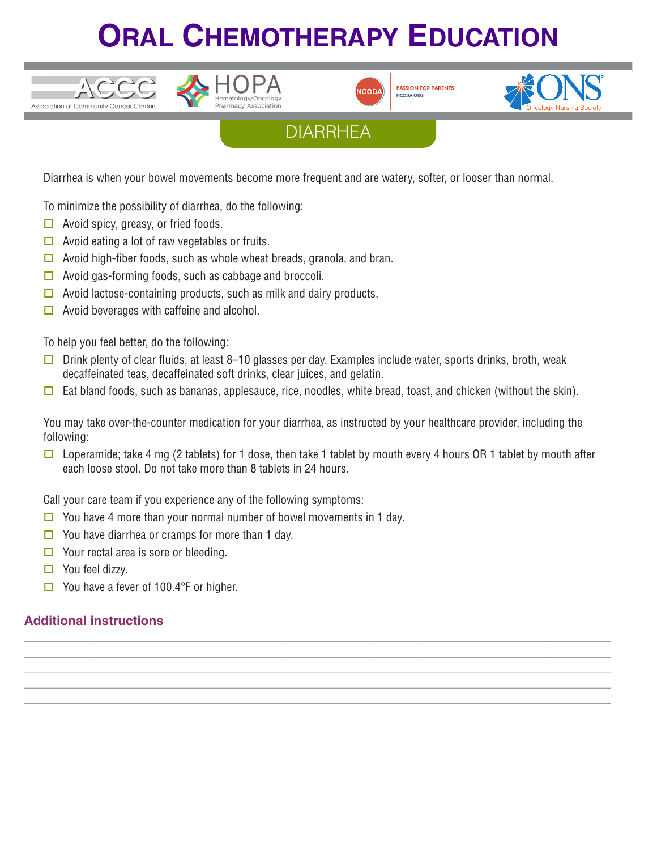## **ORAL CHEMOTHERAPY EDUCATION**





**PASSION FOR PATIENT!** NCODA, ORG





Diarrhea is when your bowel movements become more frequent and are watery, softer, or looser than normal.

To minimize the possibility of diarrhea, do the following:

 $\Box$  Avoid spicy, greasy, or fried foods.

 $VCCCC$ 

Association of Community Cancer Centers

- $\Box$  Avoid eating a lot of raw vegetables or fruits.
- $\Box$  Avoid high-fiber foods, such as whole wheat breads, granola, and bran.
- $\Box$  Avoid gas-forming foods, such as cabbage and broccoli.
- $\Box$  Avoid lactose-containing products, such as milk and dairy products.
- $\Box$  Avoid beverages with caffeine and alcohol.

To help you feel better, do the following:

- $\Box$  Drink plenty of clear fluids, at least 8–10 glasses per day. Examples include water, sports drinks, broth, weak decaffeinated teas, decaffeinated soft drinks, clear juices, and gelatin.
- $\Box$  Eat bland foods, such as bananas, applesauce, rice, noodles, white bread, toast, and chicken (without the skin).

You may take over-the-counter medication for your diarrhea, as instructed by your healthcare provider, including the following:

 $\square$  Loperamide; take 4 mg (2 tablets) for 1 dose, then take 1 tablet by mouth every 4 hours OR 1 tablet by mouth after each loose stool. Do not take more than 8 tablets in 24 hours.

**\_\_\_\_\_\_\_\_\_\_\_\_\_\_\_\_\_\_\_\_\_\_\_\_\_\_\_\_\_\_\_\_\_\_\_\_\_\_\_\_\_\_\_\_\_\_\_\_\_\_\_\_\_\_\_\_\_\_\_\_\_\_\_\_\_\_\_\_\_\_\_\_\_\_\_\_\_\_\_\_\_\_ \_\_\_\_\_\_\_\_\_\_\_\_\_\_\_\_\_\_\_\_\_\_\_\_\_\_\_\_\_\_\_\_\_\_\_\_\_\_\_\_\_\_\_\_\_\_\_\_\_\_\_\_\_\_\_\_\_\_\_\_\_\_\_\_\_\_\_\_\_\_\_\_\_\_\_\_\_\_\_\_\_\_ \_\_\_\_\_\_\_\_\_\_\_\_\_\_\_\_\_\_\_\_\_\_\_\_\_\_\_\_\_\_\_\_\_\_\_\_\_\_\_\_\_\_\_\_\_\_\_\_\_\_\_\_\_\_\_\_\_\_\_\_\_\_\_\_\_\_\_\_\_\_\_\_\_\_\_\_\_\_\_\_\_\_ \_\_\_\_\_\_\_\_\_\_\_\_\_\_\_\_\_\_\_\_\_\_\_\_\_\_\_\_\_\_\_\_\_\_\_\_\_\_\_\_\_\_\_\_\_\_\_\_\_\_\_\_\_\_\_\_\_\_\_\_\_\_\_\_\_\_\_\_\_\_\_\_\_\_\_\_\_\_\_\_\_\_ \_\_\_\_\_\_\_\_\_\_\_\_\_\_\_\_\_\_\_\_\_\_\_\_\_\_\_\_\_\_\_\_\_\_\_\_\_\_\_\_\_\_\_\_\_\_\_\_\_\_\_\_\_\_\_\_\_\_\_\_\_\_\_\_\_\_\_\_\_\_\_\_\_\_\_\_\_\_\_\_\_\_**

Call your care team if you experience any of the following symptoms:

- $\Box$  You have 4 more than your normal number of bowel movements in 1 day.
- $\Box$  You have diarrhea or cramps for more than 1 day.
- $\Box$  Your rectal area is sore or bleeding.
- $\Box$  You feel dizzy.
- $\Box$  You have a fever of 100.4°F or higher.

## **Additional instructions**